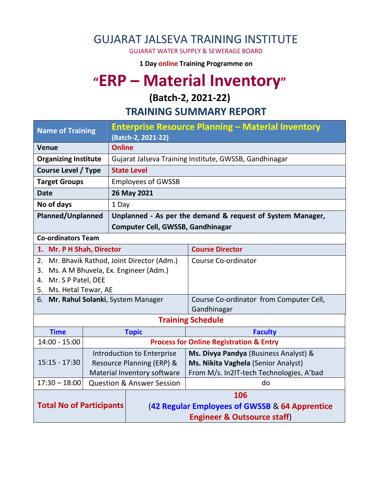### GUJARAT JALSEVA TRAINING INSTITUTE

GUJARAT WATER SUPPLY & SEWERAGE BOARD

**1 Day online Training Programme on** 

# **"ERP – Material Inventory"**

#### **(Batch-2, 2021-22)**

**TRAINING SUMMARY REPORT**

| <b>Name of Training</b>                     |  | <b>Enterprise Resource Planning - Material Inventory</b><br>(Batch-2, 2021-22) |                                                    |  |  |
|---------------------------------------------|--|--------------------------------------------------------------------------------|----------------------------------------------------|--|--|
| <b>Venue</b>                                |  | <b>Online</b>                                                                  |                                                    |  |  |
| <b>Organizing Institute</b>                 |  | Gujarat Jalseva Training Institute, GWSSB, Gandhinagar                         |                                                    |  |  |
| <b>Course Level / Type</b>                  |  | <b>State Level</b>                                                             |                                                    |  |  |
| <b>Target Groups</b>                        |  | <b>Employees of GWSSB</b>                                                      |                                                    |  |  |
| <b>Date</b>                                 |  | 26 May 2021                                                                    |                                                    |  |  |
| No of days                                  |  | 1 Day                                                                          |                                                    |  |  |
| <b>Planned/Unplanned</b>                    |  | Unplanned - As per the demand & request of System Manager,                     |                                                    |  |  |
|                                             |  | Computer Cell, GWSSB, Gandhinagar                                              |                                                    |  |  |
| <b>Co-ordinators Team</b>                   |  |                                                                                |                                                    |  |  |
| 1. Mr. P H Shah, Director                   |  |                                                                                | <b>Course Director</b>                             |  |  |
| 2. Mr. Bhavik Rathod, Joint Director (Adm.) |  |                                                                                | Course Co-ordinator                                |  |  |
| Ms. A M Bhuvela, Ex. Engineer (Adm.)<br>3.  |  |                                                                                |                                                    |  |  |
| 4. Mr. S P Patel, DEE                       |  |                                                                                |                                                    |  |  |
| 5. Ms. Hetal Tewar, AE                      |  |                                                                                |                                                    |  |  |
| 6. Mr. Rahul Solanki, System Manager        |  |                                                                                | Course Co-ordinator from Computer Cell,            |  |  |
|                                             |  |                                                                                | Gandhinagar                                        |  |  |
|                                             |  |                                                                                | <b>Training Schedule</b>                           |  |  |
| <b>Time</b>                                 |  | <b>Topic</b>                                                                   | <b>Faculty</b>                                     |  |  |
| $14:00 - 15:00$                             |  |                                                                                | <b>Process for Online Registration &amp; Entry</b> |  |  |
|                                             |  | Introduction to Enterprise                                                     | Ms. Divya Pandya (Business Analyst) &              |  |  |
| $15:15 - 17:30$                             |  | Resource Planning (ERP) &                                                      | Ms. Nikita Vaghela (Senior Analyst)                |  |  |
|                                             |  | Material Inventory software                                                    | From M/s. In2IT-tech Technologies, A'bad           |  |  |
| $17:30 - 18:00$                             |  | <b>Question &amp; Answer Session</b>                                           | do                                                 |  |  |
| <b>Total No of Participants</b>             |  | 106                                                                            |                                                    |  |  |
|                                             |  | (42 Regular Employees of GWSSB & 64 Apprentice                                 |                                                    |  |  |
|                                             |  | <b>Engineer &amp; Outsource staff)</b>                                         |                                                    |  |  |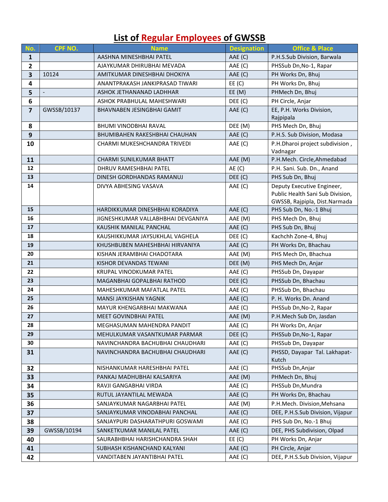## **List of Regular Employees of GWSSB**

| No.                   | CPF NO.                          | <b>Name</b>                                         | <b>Designation</b> | <b>Office &amp; Place</b>                      |
|-----------------------|----------------------------------|-----------------------------------------------------|--------------------|------------------------------------------------|
| $\mathbf{1}$          |                                  | AASHNA MINESHBHAI PATEL<br>AAE (C)                  |                    | P.H.S.Sub Division, Barwala                    |
| $\mathbf{2}$          |                                  | AJAYKUMAR DHIRUBHAI MEVADA                          | AAE (C)            | PHSSub Dn, No-1, Rapar                         |
| 3                     | 10124                            | AMITKUMAR DINESHBHAI DHOKIYA<br>AAE (C)             |                    | PH Works Dn, Bhuj                              |
| 4                     |                                  | ANANTPRAKASH JANKIPRASAD TIWARI<br>EE(C)            |                    | PH Works Dn, Bhuj                              |
| 5                     | $\overline{\phantom{a}}$         | ASHOK JETHANANAD LADHHAR                            | EE(M)              | PHMech Dn, Bhuj                                |
| 6                     |                                  | ASHOK PRABHULAL MAHESHWARI                          | DEE (C)            | PH Circle, Anjar                               |
| $\overline{7}$        | GWSSB/10137                      | <b>BHAVNABEN JESINGBHAI GAMIT</b>                   | AAE (C)            | EE, P.H. Works Division,                       |
|                       |                                  |                                                     |                    | Rajpipala                                      |
| 8                     |                                  | <b>BHUMI VINODBHAI RAVAL</b>                        | DEE (M)            | PHS Mech Dn, Bhuj                              |
| 9                     |                                  | <b>BHUMIBAHEN RAKESHBHAI CHAUHAN</b>                | AAE (C)            | P.H.S. Sub Division, Modasa                    |
| 10                    |                                  | CHARMI MUKESHCHANDRA TRIVEDI                        | AAE (C)            | P.H.Dharoi project subdivision,                |
|                       |                                  | CHARMI SUNILKUMAR BHATT                             | AAE (M)            | Vadnagar<br>P.H.Mech. Circle, Ahmedabad        |
| 11<br>12 <sup>2</sup> |                                  |                                                     | AE(C)              |                                                |
| 13                    |                                  | DHRUV RAMESHBHAI PATEL<br>DINESH GORDHANDAS RAMANUJ | DEE (C)            | P.H. Sani. Sub. Dn., Anand<br>PHS Sub Dn, Bhuj |
| 14                    |                                  | DIVYA ABHESING VASAVA                               | AAE (C)            | Deputy Executive Engineer,                     |
|                       |                                  |                                                     |                    | Public Health Sani Sub Division,               |
|                       |                                  |                                                     |                    | GWSSB, Rajpipla, Dist.Narmada                  |
| 15                    |                                  | AAE (C)<br>HARDIKKUMAR DINESHBHAI KORADIYA          |                    | PHS Sub Dn, No.-1 Bhuj                         |
| 16                    |                                  | AAE (M)<br>JIGNESHKUMAR VALLABHBHAI DEVGANIYA       |                    | PHS Mech Dn, Bhuj                              |
| 17                    |                                  | KAUSHIK MANILAL PANCHAL<br>AAE (C)                  |                    | PHS Sub Dn, Bhuj                               |
| 18                    |                                  | KAUSHIKKUMAR JAYSUKHLAL VAGHELA                     | DEE (C)            | Kachchh Zone-4, Bhuj                           |
| 19                    |                                  | KHUSHBUBEN MAHESHBHAI HIRVANIYA                     | AAE (C)            | PH Works Dn, Bhachau                           |
| 20                    |                                  | KISHAN JERAMBHAI CHADOTARA                          | AAE (M)            | PHS Mech Dn, Bhachua                           |
| 21                    |                                  | KISHOR DEVANDAS TEWANI                              | DEE (M)            | PHS Mech Dn, Anjar                             |
| 22                    |                                  | KRUPAL VINODKUMAR PATEL<br>AAE (C)                  |                    | PHSSub Dn, Dayapar                             |
| 23                    |                                  | MAGANBHAI GOPALBHAI RATHOD<br>DEF(C)                |                    | PHSSub Dn, Bhachau                             |
| 24                    |                                  | MAHESHKUMAR MAFATLAL PATEL<br>AAE (C)               |                    | PHSSub Dn, Bhachau                             |
| 25                    |                                  | AAE (C)<br>MANSI JAYKISHAN YAGNIK                   |                    | P. H. Works Dn. Anand                          |
| 26                    |                                  | MAYUR KHENGARBHAI MAKWANA<br>AAE (C)                |                    | PHSSub Dn, No-2, Rapar                         |
| 27                    |                                  | AAE (M)<br>MEET GOVINDBHAI PATEL                    |                    | P.H.Mech Sub Dn, Jasdan                        |
| 28                    | MEGHASUMAN MAHENDRA PANDIT       |                                                     | AAE (C)            | PH Works Dn, Anjar                             |
| 29                    | MEHULKUMAR VASANTKUMAR PARMAR    |                                                     | DEE (C)            | PHSSub Dn, No-1, Rapar                         |
| 30                    | NAVINCHANDRA BACHUBHAI CHAUDHARI |                                                     | AAE (C)            | PHSSub Dn, Dayapar                             |
| 31                    |                                  | NAVINCHANDRA BACHUBHAI CHAUDHARI                    | AAE (C)            | PHSSD, Dayapar Tal. Lakhapat-                  |
| 32                    |                                  | NISHANKUMAR HARESHBHAI PATEL                        |                    | Kutch<br>PHSSub Dn, Anjar                      |
| 33                    |                                  | PANKAJ MADHUBHAI KALSARIYA                          | AAE (C)<br>AAE (M) | PHMech Dn, Bhuj                                |
| 34                    |                                  |                                                     | AAE (C)            | PHSSub Dn, Mundra                              |
| 35                    |                                  | RAVJI GANGABHAI VIRDA<br>RUTUL JAYANTILAL MEWADA    |                    | PH Works Dn, Bhachau                           |
| 36                    |                                  | SANJAYKUMAR NAGARBHAI PATEL                         | AAE (C)<br>AAE (M) | P.H.Mech. Division, Mehsana                    |
| 37                    |                                  | SANJAYKUMAR VINODABHAI PANCHAL                      | AAE (C)            | DEE, P.H.S.Sub Division, Vijapur               |
| 38                    |                                  | SANJAYPURI DASHARATHPURI GOSWAMI                    | AAE (C)            | PHS Sub Dn, No.-1 Bhuj                         |
| 39                    | GWSSB/10194                      | SANKETKUMAR MANILAL PATEL                           | AAE (C)            | DEE, PHS Subdivision, Olpad                    |
| 40                    |                                  | SAURABHBHAI HARISHCHANDRA SHAH                      | EE(C)              | PH Works Dn, Anjar                             |
| 41                    |                                  | SUBHASH KISHANCHAND KALYANI                         | AAE (C)            | PH Circle, Anjar                               |
| 42                    |                                  | VANDITABEN JAYANTIBHAI PATEL                        | AAE (C)            | DEE, P.H.S.Sub Division, Vijapur               |
|                       |                                  |                                                     |                    |                                                |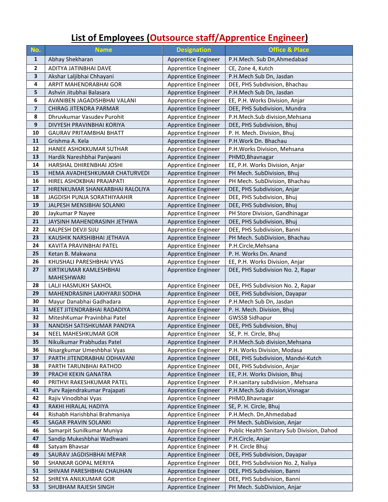## **List of Employees (Outsource staff/Apprentice Engineer)**

| No.                     | <b>Name</b>                                       | <b>Designation</b>                         | <b>Office &amp; Place</b>                                    |  |
|-------------------------|---------------------------------------------------|--------------------------------------------|--------------------------------------------------------------|--|
| $\mathbf{1}$            | Abhay Shekharan                                   | Apprentice Engineer                        | P.H.Mech. Sub Dn, Ahmedabad                                  |  |
| $\mathbf{2}$            | ADITYA JATINBHAI DAVE                             | Apprentice Engineer                        | CE, Zone 4, Kutch                                            |  |
| $\overline{\mathbf{3}}$ | Akshar Laljibhai Chhayani                         | Apprentice Engineer                        | P.H.Mech Sub Dn, Jasdan                                      |  |
| 4                       | ARPIT MAHENDRABHAI GOR                            | Apprentice Engineer                        | DEE, PHS Subdivision, Bhachau                                |  |
| 5                       | Ashvin Jitubhai Balasara                          | Apprentice Engineer                        | P.H.Mech Sub Dn, Jasdan                                      |  |
| 6                       | AVANIBEN JAGADISHBHAI VALANI                      | Apprentice Engineer                        | EE, P.H. Works Division, Anjar                               |  |
| $\overline{\mathbf{z}}$ | <b>CHIRAG JITENDRA PARMAR</b>                     | Apprentice Engineer                        | DEE, PHS Subdivision, Mundra                                 |  |
| 8                       | Dhruvkumar Vasudev Purohit                        | Apprentice Engineer                        | P.H.Mech.Sub division, Mehsana                               |  |
| 9                       | DIVYESH PRAVINBHAI KORIYA                         | Apprentice Engineer                        | DEE, PHS Subdivision, Bhuj                                   |  |
| 10                      | <b>GAURAV PRITAMBHAI BHATT</b>                    | Apprentice Engineer                        | P. H. Mech. Division, Bhuj                                   |  |
| 11                      | Grishma A. Kela                                   | Apprentice Engineer                        | P.H.Work Dn. Bhachau                                         |  |
| 12                      | HANEE ASHOKKUMAR SUTHAR                           | Apprentice Engineer                        | P.H. Works Division, Mehsana                                 |  |
| 13                      | Hardik Nareshbhai Panjwani                        | Apprentice Engineer                        | PHMD, Bhavnagar                                              |  |
| 14                      | HARSHAL DHIRENBHAI JOSHI                          | Apprentice Engineer                        | EE, P.H. Works Division, Anjar                               |  |
| 15                      | HEMA AVADHESHKUMAR CHATURVEDI                     | Apprentice Engineer                        | PH Mech. SubDivision, Bhuj                                   |  |
| 16                      | HIREL ASHOKBHAI PRAJAPATI                         | Apprentice Engineer                        | PH Mech. SubDivision, Bhachau                                |  |
| 17                      | HIRENKUMAR SHANKARBHAI RALOLIYA                   | Apprentice Engineer                        | DEE, PHS Subdivision, Anjar                                  |  |
| 18                      | JAGDISH PUNJA SORATHIYAAHIR                       | Apprentice Engineer                        | DEE, PHS Subdivision, Bhuj                                   |  |
| 19                      | JALPESH MENSIBHAI SOLANKI                         | Apprentice Engineer                        | DEE, PHS Subdivision, Bhuj                                   |  |
| 20                      | Jaykumar P Nayee                                  | Apprentice Engineer                        | PH Store Division, Gandhinagar                               |  |
| 21                      | JAYSINH MAHENDRASINH JETHWA                       | Apprentice Engineer                        | DEE, PHS Subdivision, Bhuj                                   |  |
| 22                      | KALPESH DEVJI SIJU                                | Apprentice Engineer                        | DEE, PHS Subdivision, Banni                                  |  |
| 23                      | KAUSHIK NARSHIBHAI JETHAVA                        | Apprentice Engineer                        | PH Mech. SubDivision, Bhachau                                |  |
| 24                      | KAVITA PRAVINBHAI PATEL                           | Apprentice Engineer                        | P.H.Circle, Mehsana                                          |  |
| 25                      | Ketan B. Makwana                                  | Apprentice Engineer                        | P. H. Works Dn. Anand                                        |  |
| 26                      | KHUSHALI PARESHBHAI VYAS                          | Apprentice Engineer                        | EE, P.H. Works Division, Anjar                               |  |
| 27                      | KIRTIKUMAR KAMLESHBHAI                            | Apprentice Engineer                        | DEE, PHS Subdivision No. 2, Rapar                            |  |
|                         | MAHESHWARI                                        |                                            |                                                              |  |
| 28                      | LALJI HASMUKH SAKHOL                              | Apprentice Engineer                        | DEE, PHS Subdivision No. 2, Rapar                            |  |
| 29                      | MAHENDRASINH LAKHYARJI SODHA                      | Apprentice Engineer                        | DEE, PHS Subdivision, Dayapar                                |  |
| 30                      | Mayur Danabhai Gadhadara                          | Apprentice Engineer                        | P.H.Mech Sub Dn, Jasdan                                      |  |
| 31                      | MEET JITENDRABHAI RADADIYA                        | Apprentice Engineer                        | P. H. Mech. Division, Bhuj                                   |  |
| 32                      | MiteshKumar Pravinbhai Patel                      | Apprentice Engineer                        | <b>GWSSB Sidhapur</b>                                        |  |
| 33                      | NANDISH SATISHKUMAR PANDYA                        | Apprentice Engineer                        | DEE, PHS Subdivision, Bhuj                                   |  |
| 34                      | NEEL MAHESHKUMAR GOR                              | Apprentice Engineer                        | SE, P. H. Circle, Bhuj                                       |  |
| 35                      | Nikulkumar Prabhudas Patel                        | Apprentice Engineer                        | P.H.Mech.Sub division, Mehsana                               |  |
| 36                      | Nisargkumar Umeshbhai Vyas                        | Apprentice Engineer                        | P.H. Works Division, Modasa                                  |  |
| 37                      | PARTH JITENDRABHAI ODHAVANI                       | Apprentice Engineer                        | DEE, PHS Subdivision, Mandvi-Kutch                           |  |
| 38<br>39                | PARTH TARUNBHAI RATHOD                            | Apprentice Engineer                        | DEE, PHS Subdivision, Anjar<br>EE, P.H. Works Division, Bhuj |  |
| 40                      | PRACHI KEKIN GANATRA<br>PRITHVI RAKESHKUMAR PATEL | Apprentice Engineer<br>Apprentice Engineer | P.H.sanitary subdivision, Mehsana                            |  |
| 41                      | Purv Rajendrakumar Prajapati                      | Apprentice Engineer                        | P.H.Mech.Sub division, Visnagar                              |  |
| 42                      | Rajiv Vinodbhai Vyas                              | Apprentice Engineer                        | PHMD, Bhavnagar                                              |  |
| 43                      | RAKHI HIRALAL HADIYA                              | Apprentice Engineer                        | SE, P. H. Circle, Bhuj                                       |  |
| 44                      | Rishabh Harishbhai Brahmaniya                     | Apprentice Engineer                        | P.H.Mech. Dn, Ahmedabad                                      |  |
| 45                      | SAGAR PRAVIN SOLANKI                              | Apprentice Engineer                        | PH Mech. SubDivision, Anjar                                  |  |
| 46                      | Samarpit Sunilkumar Muniya                        | Apprentice Engineer                        | Public Health Sanitary Sub Division, Dahod                   |  |
| 47                      | Sandip Mukeshbhai Wadhwani                        | Apprentice Engineer                        | P.H.Circle, Anjar                                            |  |
| 48                      | Satyam Bhavsar                                    | Apprentice Engineer                        | P H. Circle Bhuj                                             |  |
| 49                      | SAURAV JAGDISHBHAI MEPAR                          | Apprentice Engineer                        | DEE, PHS Subdivision, Dayapar                                |  |
| 50                      | SHANKAR GOPAL MERIYA                              | Apprentice Engineer                        | DEE, PHS Subdivision No. 2, Naliya                           |  |
| 51                      | SHIVAM PARESHBHAI CHAUHAN                         | Apprentice Engineer                        | DEE, PHS Subdivision, Banni                                  |  |
| 52                      | SHREYA ANILKUMAR GOR                              | Apprentice Engineer                        | DEE, PHS Subdivision, Banni                                  |  |
| 53                      | SHUBHAM RAJESH SINGH                              | Apprentice Engineer                        | PH Mech. SubDivision, Anjar                                  |  |